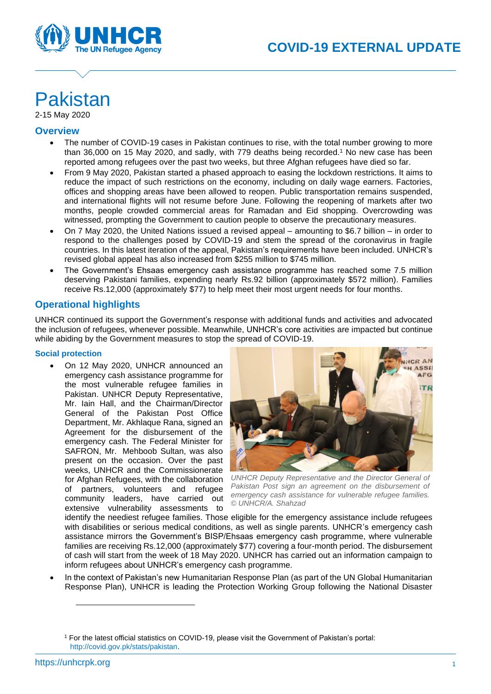

# Pakistan

2-15 May 2020

# **Overview**

- The number of COVID-19 cases in Pakistan continues to rise, with the total number growing to more than 36,000 on 15 May 2020, and sadly, with 779 deaths being recorded. <sup>1</sup> No new case has been reported among refugees over the past two weeks, but three Afghan refugees have died so far.
- From 9 May 2020, Pakistan started a phased approach to easing the lockdown restrictions. It aims to reduce the impact of such restrictions on the economy, including on daily wage earners. Factories, offices and shopping areas have been allowed to reopen. Public transportation remains suspended, and international flights will not resume before June. Following the reopening of markets after two months, people crowded commercial areas for Ramadan and Eid shopping. Overcrowding was witnessed, prompting the Government to caution people to observe the precautionary measures.
- On 7 May 2020, the United Nations issued a revised appeal amounting to \$6.7 billion in order to respond to the challenges posed by COVID-19 and stem the spread of the coronavirus in fragile countries. In this latest iteration of the appeal, Pakistan's requirements have been included. UNHCR's revised global appeal has also increased from \$255 million to \$745 million.
- The Government's Ehsaas emergency cash assistance programme has reached some 7.5 million deserving Pakistani families, expending nearly Rs.92 billion (approximately \$572 million). Families receive Rs.12,000 (approximately \$77) to help meet their most urgent needs for four months.

# **Operational highlights**

UNHCR continued its support the Government's response with additional funds and activities and advocated the inclusion of refugees, whenever possible. Meanwhile, UNHCR's core activities are impacted but continue while abiding by the Government measures to stop the spread of COVID-19.

# **Social protection**

• On 12 May 2020, UNHCR announced an emergency cash assistance programme for the most vulnerable refugee families in Pakistan. UNHCR Deputy Representative, Mr. Iain Hall, and the Chairman/Director General of the Pakistan Post Office Department, Mr. Akhlaque Rana, signed an Agreement for the disbursement of the emergency cash. The Federal Minister for SAFRON, Mr. Mehboob Sultan, was also present on the occasion. Over the past weeks, UNHCR and the Commissionerate for Afghan Refugees, with the collaboration of partners, volunteers and refugee community leaders, have carried out extensive vulnerability assessments to



*UNHCR Deputy Representative and the Director General of Pakistan Post sign an agreement on the disbursement of emergency cash assistance for vulnerable refugee families. © UNHCR/A. Shahzad*

identify the neediest refugee families. Those eligible for the emergency assistance include refugees with disabilities or serious medical conditions, as well as single parents. UNHCR's emergency cash assistance mirrors the Government's BISP/Ehsaas emergency cash programme, where vulnerable families are receiving Rs.12,000 (approximately \$77) covering a four-month period. The disbursement of cash will start from the week of 18 May 2020. UNHCR has carried out an information campaign to inform refugees about UNHCR's emergency cash programme.

• In the context of Pakistan's new Humanitarian Response Plan (as part of the UN Global Humanitarian Response Plan), UNHCR is leading the Protection Working Group following the National Disaster

<sup>1</sup> For the latest official statistics on COVID-19, please visit the Government of Pakistan's portal: [http://covid.gov.pk/stats/pakistan.](http://covid.gov.pk/stats/pakistan)